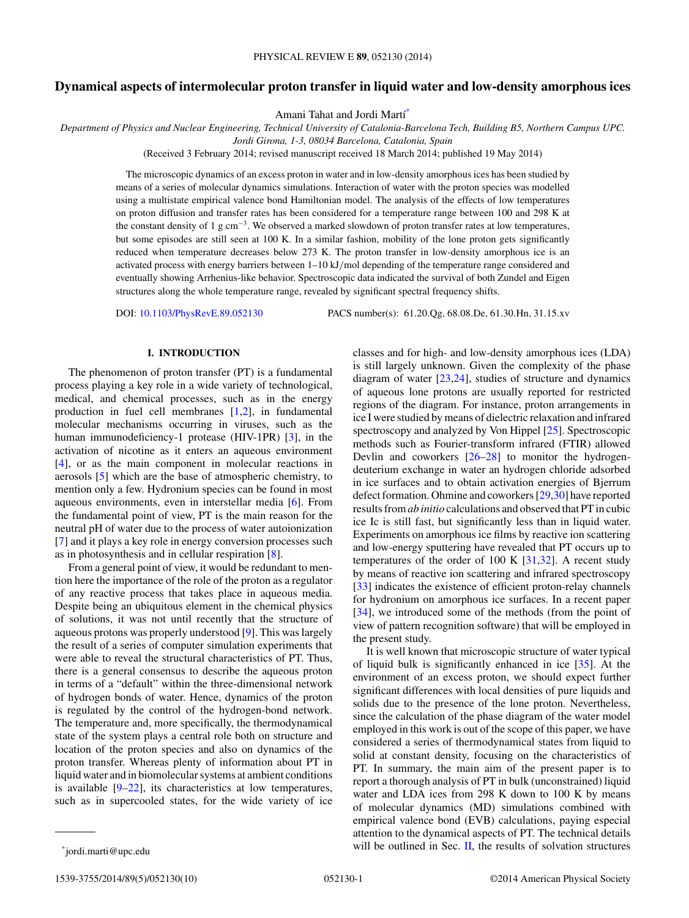# **Dynamical aspects of intermolecular proton transfer in liquid water and low-density amorphous ices**

Amani Tahat and Jordi Martí\*

*Department of Physics and Nuclear Engineering, Technical University of Catalonia-Barcelona Tech, Building B5, Northern Campus UPC.*

*Jordi Girona, 1-3, 08034 Barcelona, Catalonia, Spain*

(Received 3 February 2014; revised manuscript received 18 March 2014; published 19 May 2014)

The microscopic dynamics of an excess proton in water and in low-density amorphous ices has been studied by means of a series of molecular dynamics simulations. Interaction of water with the proton species was modelled using a multistate empirical valence bond Hamiltonian model. The analysis of the effects of low temperatures on proton diffusion and transfer rates has been considered for a temperature range between 100 and 298 K at the constant density of 1 g cm<sup>-3</sup>. We observed a marked slowdown of proton transfer rates at low temperatures, but some episodes are still seen at 100 K. In a similar fashion, mobility of the lone proton gets significantly reduced when temperature decreases below 273 K. The proton transfer in low-density amorphous ice is an activated process with energy barriers between 1–10 kJ*/*mol depending of the temperature range considered and eventually showing Arrhenius-like behavior. Spectroscopic data indicated the survival of both Zundel and Eigen structures along the whole temperature range, revealed by significant spectral frequency shifts.

DOI: [10.1103/PhysRevE.89.052130](http://dx.doi.org/10.1103/PhysRevE.89.052130) PACS number(s): 61*.*20*.*Qg*,* 68*.*08*.*De*,* 61*.*30*.*Hn*,* 31*.*15*.*xv

# **I. INTRODUCTION**

The phenomenon of proton transfer (PT) is a fundamental process playing a key role in a wide variety of technological, medical, and chemical processes, such as in the energy production in fuel cell membranes  $[1,2]$ , in fundamental molecular mechanisms occurring in viruses, such as the human immunodeficiency-1 protease (HIV-1PR) [\[3\]](#page-8-0), in the activation of nicotine as it enters an aqueous environment [\[4\]](#page-8-0), or as the main component in molecular reactions in aerosols [\[5\]](#page-8-0) which are the base of atmospheric chemistry, to mention only a few. Hydronium species can be found in most aqueous environments, even in interstellar media [\[6\]](#page-8-0). From the fundamental point of view, PT is the main reason for the neutral pH of water due to the process of water autoionization [\[7\]](#page-8-0) and it plays a key role in energy conversion processes such as in photosynthesis and in cellular respiration [\[8\]](#page-8-0).

From a general point of view, it would be redundant to mention here the importance of the role of the proton as a regulator of any reactive process that takes place in aqueous media. Despite being an ubiquitous element in the chemical physics of solutions, it was not until recently that the structure of aqueous protons was properly understood [\[9\]](#page-8-0). This was largely the result of a series of computer simulation experiments that were able to reveal the structural characteristics of PT. Thus, there is a general consensus to describe the aqueous proton in terms of a "default" within the three-dimensional network of hydrogen bonds of water. Hence, dynamics of the proton is regulated by the control of the hydrogen-bond network. The temperature and, more specifically, the thermodynamical state of the system plays a central role both on structure and location of the proton species and also on dynamics of the proton transfer. Whereas plenty of information about PT in liquid water and in biomolecular systems at ambient conditions is available  $[9-22]$ , its characteristics at low temperatures, such as in supercooled states, for the wide variety of ice

classes and for high- and low-density amorphous ices (LDA) is still largely unknown. Given the complexity of the phase diagram of water  $[23,24]$ , studies of structure and dynamics of aqueous lone protons are usually reported for restricted regions of the diagram. For instance, proton arrangements in ice I were studied by means of dielectric relaxation and infrared spectroscopy and analyzed by Von Hippel [\[25\]](#page-8-0). Spectroscopic methods such as Fourier-transform infrared (FTIR) allowed Devlin and coworkers [\[26–28\]](#page-8-0) to monitor the hydrogendeuterium exchange in water an hydrogen chloride adsorbed in ice surfaces and to obtain activation energies of Bjerrum defect formation. Ohmine and coworkers [\[29,30\]](#page-8-0) have reported results from*ab initio* calculations and observed that PT in cubic ice Ic is still fast, but significantly less than in liquid water. Experiments on amorphous ice films by reactive ion scattering and low-energy sputtering have revealed that PT occurs up to temperatures of the order of 100 K  $[31,32]$ . A recent study by means of reactive ion scattering and infrared spectroscopy [\[33\]](#page-8-0) indicates the existence of efficient proton-relay channels for hydronium on amorphous ice surfaces. In a recent paper [\[34\]](#page-8-0), we introduced some of the methods (from the point of view of pattern recognition software) that will be employed in the present study.

It is well known that microscopic structure of water typical of liquid bulk is significantly enhanced in ice [\[35\]](#page-8-0). At the environment of an excess proton, we should expect further significant differences with local densities of pure liquids and solids due to the presence of the lone proton. Nevertheless, since the calculation of the phase diagram of the water model employed in this work is out of the scope of this paper, we have considered a series of thermodynamical states from liquid to solid at constant density, focusing on the characteristics of PT. In summary, the main aim of the present paper is to report a thorough analysis of PT in bulk (unconstrained) liquid water and LDA ices from 298 K down to 100 K by means of molecular dynamics (MD) simulations combined with empirical valence bond (EVB) calculations, paying especial attention to the dynamical aspects of PT. The technical details will be outlined in Sec.  $\mathbf{II}$ , the results of solvation structures

<sup>\*</sup>jordi.marti@upc.edu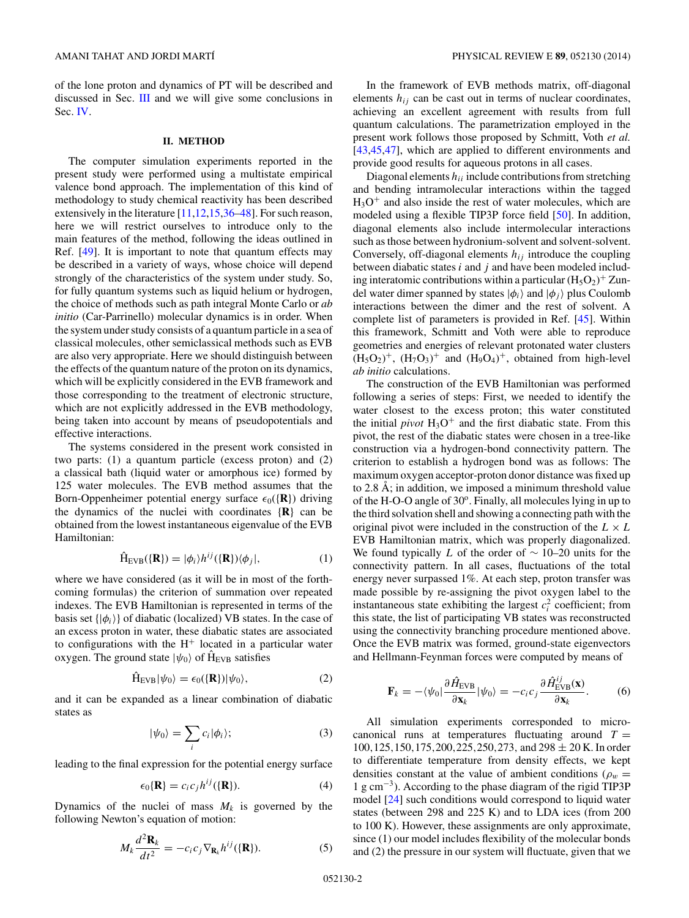<span id="page-1-0"></span>of the lone proton and dynamics of PT will be described and discussed in Sec. [III](#page-2-0) and we will give some conclusions in Sec. [IV.](#page-7-0)

#### **II. METHOD**

The computer simulation experiments reported in the present study were performed using a multistate empirical valence bond approach. The implementation of this kind of methodology to study chemical reactivity has been described extensively in the literature  $[11,12,15,36-48]$ . For such reason, here we will restrict ourselves to introduce only to the main features of the method, following the ideas outlined in Ref. [\[49\]](#page-8-0). It is important to note that quantum effects may be described in a variety of ways, whose choice will depend strongly of the characteristics of the system under study. So, for fully quantum systems such as liquid helium or hydrogen, the choice of methods such as path integral Monte Carlo or *ab initio* (Car-Parrinello) molecular dynamics is in order. When the system under study consists of a quantum particle in a sea of classical molecules, other semiclassical methods such as EVB are also very appropriate. Here we should distinguish between the effects of the quantum nature of the proton on its dynamics, which will be explicitly considered in the EVB framework and those corresponding to the treatment of electronic structure, which are not explicitly addressed in the EVB methodology, being taken into account by means of pseudopotentials and effective interactions.

The systems considered in the present work consisted in two parts: (1) a quantum particle (excess proton) and (2) a classical bath (liquid water or amorphous ice) formed by 125 water molecules. The EVB method assumes that the Born-Oppenheimer potential energy surface  $\epsilon_0(\{\mathbf{R}\})$  driving the dynamics of the nuclei with coordinates {**R**} can be obtained from the lowest instantaneous eigenvalue of the EVB Hamiltonian:

$$
\hat{H}_{EVB}(\{R\}) = |\phi_i\rangle h^{ij}(\{R\})\langle \phi_j|,
$$
\n(1)

where we have considered (as it will be in most of the forthcoming formulas) the criterion of summation over repeated indexes. The EVB Hamiltonian is represented in terms of the basis set  $\{|\phi_i\rangle\}$  of diabatic (localized) VB states. In the case of an excess proton in water, these diabatic states are associated to configurations with the  $H^+$  located in a particular water oxygen. The ground state  $|\psi_0\rangle$  of  $\hat{H}_{EVB}$  satisfies

$$
\hat{H}_{EVB}|\psi_0\rangle = \epsilon_0(\{R\})|\psi_0\rangle,\tag{2}
$$

and it can be expanded as a linear combination of diabatic states as

$$
|\psi_0\rangle = \sum_i c_i |\phi_i\rangle; \tag{3}
$$

leading to the final expression for the potential energy surface

$$
\epsilon_0\{\mathbf{R}\} = c_i c_j h^{ij}(\{\mathbf{R}\}).\tag{4}
$$

Dynamics of the nuclei of mass  $M_k$  is governed by the following Newton's equation of motion:

$$
M_k \frac{d^2 \mathbf{R}_k}{dt^2} = -c_i c_j \nabla_{\mathbf{R}_k} h^{ij}(\{\mathbf{R}\}).
$$
 (5)

In the framework of EVB methods matrix, off-diagonal elements  $h_{ij}$  can be cast out in terms of nuclear coordinates, achieving an excellent agreement with results from full quantum calculations. The parametrization employed in the present work follows those proposed by Schmitt, Voth *et al.* [\[43,45,47\]](#page-8-0), which are applied to different environments and provide good results for aqueous protons in all cases.

Diagonal elements  $h_{ii}$  include contributions from stretching and bending intramolecular interactions within the tagged  $H_3O^+$  and also inside the rest of water molecules, which are modeled using a flexible TIP3P force field [\[50\]](#page-8-0). In addition, diagonal elements also include intermolecular interactions such as those between hydronium-solvent and solvent-solvent. Conversely, off-diagonal elements *hij* introduce the coupling between diabatic states *i* and *j* and have been modeled including interatomic contributions within a particular  $(H_5O_2)^+$  Zundel water dimer spanned by states  $|\phi_i\rangle$  and  $|\phi_j\rangle$  plus Coulomb interactions between the dimer and the rest of solvent. A complete list of parameters is provided in Ref. [\[45\]](#page-8-0). Within this framework, Schmitt and Voth were able to reproduce geometries and energies of relevant protonated water clusters  $(H_5O_2)^+$ ,  $(H_7O_3)^+$  and  $(H_9O_4)^+$ , obtained from high-level *ab initio* calculations.

The construction of the EVB Hamiltonian was performed following a series of steps: First, we needed to identify the water closest to the excess proton; this water constituted the initial *pivot*  $H_3O^+$  and the first diabatic state. From this pivot, the rest of the diabatic states were chosen in a tree-like construction via a hydrogen-bond connectivity pattern. The criterion to establish a hydrogen bond was as follows: The maximum oxygen acceptor-proton donor distance was fixed up to 2.8  $\AA$ ; in addition, we imposed a minimum threshold value of the H-O-O angle of  $30^\circ$ . Finally, all molecules lying in up to the third solvation shell and showing a connecting path with the original pivot were included in the construction of the  $L \times L$ EVB Hamiltonian matrix, which was properly diagonalized. We found typically *L* of the order of ∼ 10–20 units for the connectivity pattern. In all cases, fluctuations of the total energy never surpassed 1%. At each step, proton transfer was made possible by re-assigning the pivot oxygen label to the instantaneous state exhibiting the largest  $c_i^2$  coefficient; from this state, the list of participating VB states was reconstructed using the connectivity branching procedure mentioned above. Once the EVB matrix was formed, ground-state eigenvectors and Hellmann-Feynman forces were computed by means of

$$
\mathbf{F}_k = -\langle \psi_0 | \frac{\partial \hat{H}_{\text{EVB}}}{\partial \mathbf{x}_k} | \psi_0 \rangle = -c_i c_j \frac{\partial \hat{H}_{\text{EVB}}^{ij}(\mathbf{x})}{\partial \mathbf{x}_k}.
$$
 (6)

All simulation experiments corresponded to microcanonical runs at temperatures fluctuating around  $T =$ 100*,*125*,*150*,*175*,*200*,*225*,*250*,*273*,* and 298 ± 20 K. In order to differentiate temperature from density effects, we kept densities constant at the value of ambient conditions ( $\rho_w$  = 1 g cm<sup>−</sup>3). According to the phase diagram of the rigid TIP3P model [\[24\]](#page-8-0) such conditions would correspond to liquid water states (between 298 and 225 K) and to LDA ices (from 200 to 100 K). However, these assignments are only approximate, since (1) our model includes flexibility of the molecular bonds and (2) the pressure in our system will fluctuate, given that we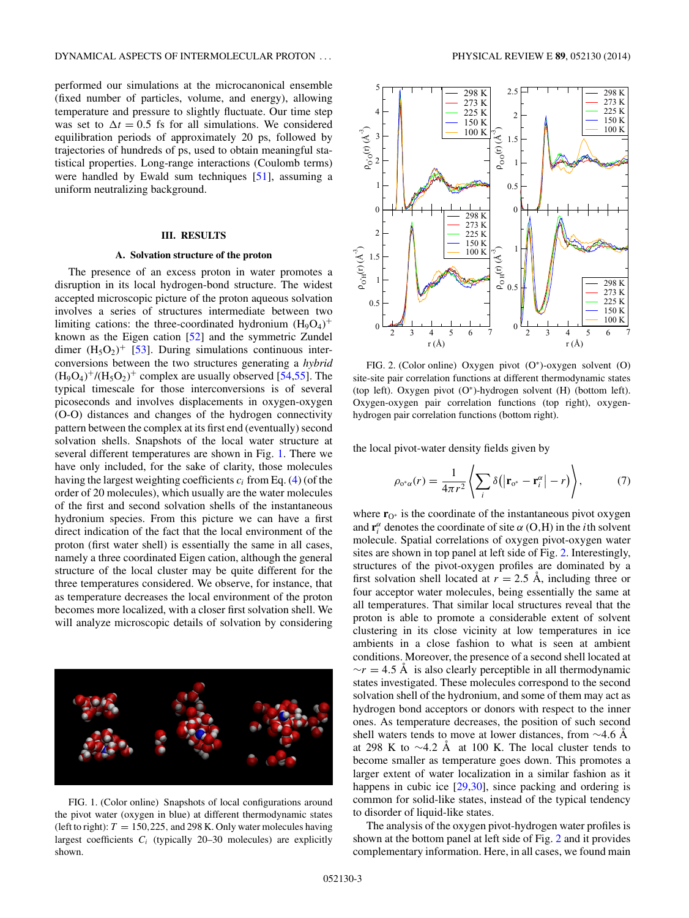<span id="page-2-0"></span>performed our simulations at the microcanonical ensemble (fixed number of particles, volume, and energy), allowing temperature and pressure to slightly fluctuate. Our time step was set to  $\Delta t = 0.5$  fs for all simulations. We considered equilibration periods of approximately 20 ps, followed by trajectories of hundreds of ps, used to obtain meaningful statistical properties. Long-range interactions (Coulomb terms) were handled by Ewald sum techniques [\[51\]](#page-8-0), assuming a uniform neutralizing background.

## **III. RESULTS**

### **A. Solvation structure of the proton**

The presence of an excess proton in water promotes a disruption in its local hydrogen-bond structure. The widest accepted microscopic picture of the proton aqueous solvation involves a series of structures intermediate between two limiting cations: the three-coordinated hydronium  $(H_9O_4)^+$ known as the Eigen cation [\[52\]](#page-8-0) and the symmetric Zundel dimer  $(H_5O_2)^+$  [\[53\]](#page-8-0). During simulations continuous interconversions between the two structures generating a *hybrid*  $(H_9O_4)^+$ / $(H_5O_2)^+$  complex are usually observed [\[54,55\]](#page-8-0). The typical timescale for those interconversions is of several picoseconds and involves displacements in oxygen-oxygen (O-O) distances and changes of the hydrogen connectivity pattern between the complex at its first end (eventually) second solvation shells. Snapshots of the local water structure at several different temperatures are shown in Fig. 1. There we have only included, for the sake of clarity, those molecules having the largest weighting coefficients  $c_i$  from Eq.  $(4)$  (of the order of 20 molecules), which usually are the water molecules of the first and second solvation shells of the instantaneous hydronium species. From this picture we can have a first direct indication of the fact that the local environment of the proton (first water shell) is essentially the same in all cases, namely a three coordinated Eigen cation, although the general structure of the local cluster may be quite different for the three temperatures considered. We observe, for instance, that as temperature decreases the local environment of the proton becomes more localized, with a closer first solvation shell. We will analyze microscopic details of solvation by considering



FIG. 1. (Color online) Snapshots of local configurations around the pivot water (oxygen in blue) at different thermodynamic states (left to right):  $T = 150,225$ , and 298 K. Only water molecules having largest coefficients *Ci* (typically 20–30 molecules) are explicitly shown.



FIG. 2. (Color online) Oxygen pivot (O<sup>∗</sup>)-oxygen solvent (O) site-site pair correlation functions at different thermodynamic states (top left). Oxygen pivot (O<sup>∗</sup>)-hydrogen solvent (H) (bottom left). Oxygen-oxygen pair correlation functions (top right), oxygenhydrogen pair correlation functions (bottom right).

the local pivot-water density fields given by

$$
\rho_{o^*\alpha}(r) = \frac{1}{4\pi r^2} \left\langle \sum_i \delta\big( \big| \mathbf{r}_{o^*} - \mathbf{r}_i^{\alpha} \big| - r \big) \right\rangle, \tag{7}
$$

where **r**<sub>O</sub><sup>∗</sup> is the coordinate of the instantaneous pivot oxygen and  $\mathbf{r}^{\alpha}$  denotes the coordinate of site  $\alpha$  (O,H) in the *i*th solvent molecule. Spatial correlations of oxygen pivot-oxygen water sites are shown in top panel at left side of Fig. 2. Interestingly, structures of the pivot-oxygen profiles are dominated by a first solvation shell located at  $r = 2.5$  Å, including three or four acceptor water molecules, being essentially the same at all temperatures. That similar local structures reveal that the proton is able to promote a considerable extent of solvent clustering in its close vicinity at low temperatures in ice ambients in a close fashion to what is seen at ambient conditions. Moreover, the presence of a second shell located at  $\gamma r = 4.5$  Å is also clearly perceptible in all thermodynamic states investigated. These molecules correspond to the second solvation shell of the hydronium, and some of them may act as hydrogen bond acceptors or donors with respect to the inner ones. As temperature decreases, the position of such second shell waters tends to move at lower distances, from ∼4*.*6 A˚ at 298 K to  $\sim$ 4.2 Å at 100 K. The local cluster tends to become smaller as temperature goes down. This promotes a larger extent of water localization in a similar fashion as it happens in cubic ice [\[29,30\]](#page-8-0), since packing and ordering is common for solid-like states, instead of the typical tendency to disorder of liquid-like states.

The analysis of the oxygen pivot-hydrogen water profiles is shown at the bottom panel at left side of Fig. 2 and it provides complementary information. Here, in all cases, we found main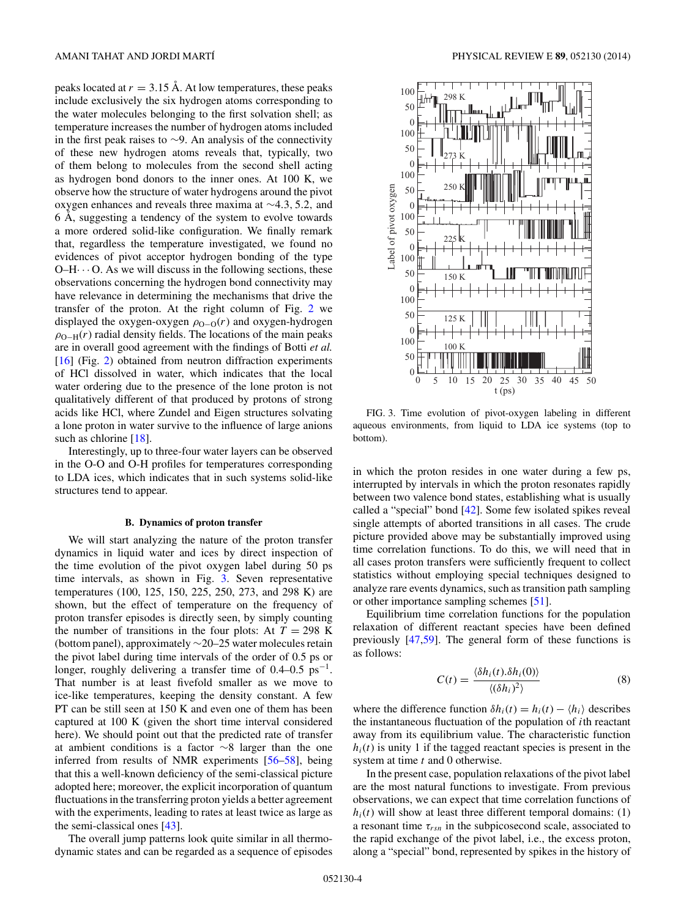<span id="page-3-0"></span>peaks located at  $r = 3.15$  Å. At low temperatures, these peaks include exclusively the six hydrogen atoms corresponding to the water molecules belonging to the first solvation shell; as temperature increases the number of hydrogen atoms included in the first peak raises to ∼9. An analysis of the connectivity of these new hydrogen atoms reveals that, typically, two of them belong to molecules from the second shell acting as hydrogen bond donors to the inner ones. At 100 K, we observe how the structure of water hydrogens around the pivot oxygen enhances and reveals three maxima at ∼4*.*3*,* 5*.*2*,* and 6 Å, suggesting a tendency of the system to evolve towards a more ordered solid-like configuration. We finally remark that, regardless the temperature investigated, we found no evidences of pivot acceptor hydrogen bonding of the type  $O-H\cdots$  O. As we will discuss in the following sections, these observations concerning the hydrogen bond connectivity may have relevance in determining the mechanisms that drive the transfer of the proton. At the right column of Fig. [2](#page-2-0) we displayed the oxygen-oxygen  $\rho_{O-O}(r)$  and oxygen-hydrogen  $\rho_{\text{O-H}}(r)$  radial density fields. The locations of the main peaks are in overall good agreement with the findings of Botti *et al.* [\[16\]](#page-8-0) (Fig. [2\)](#page-2-0) obtained from neutron diffraction experiments of HCl dissolved in water, which indicates that the local water ordering due to the presence of the lone proton is not qualitatively different of that produced by protons of strong acids like HCl, where Zundel and Eigen structures solvating a lone proton in water survive to the influence of large anions such as chlorine [\[18\]](#page-8-0).

Interestingly, up to three-four water layers can be observed in the O-O and O-H profiles for temperatures corresponding to LDA ices, which indicates that in such systems solid-like structures tend to appear.

#### **B. Dynamics of proton transfer**

We will start analyzing the nature of the proton transfer dynamics in liquid water and ices by direct inspection of the time evolution of the pivot oxygen label during 50 ps time intervals, as shown in Fig. 3. Seven representative temperatures (100, 125, 150, 225, 250, 273, and 298 K) are shown, but the effect of temperature on the frequency of proton transfer episodes is directly seen, by simply counting the number of transitions in the four plots: At  $T = 298$  K (bottom panel), approximately ∼20–25 water molecules retain the pivot label during time intervals of the order of 0.5 ps or longer, roughly delivering a transfer time of  $0.4-0.5 \text{ ps}^{-1}$ . That number is at least fivefold smaller as we move to ice-like temperatures, keeping the density constant. A few PT can be still seen at 150 K and even one of them has been captured at 100 K (given the short time interval considered here). We should point out that the predicted rate of transfer at ambient conditions is a factor ∼8 larger than the one inferred from results of NMR experiments [\[56–58\]](#page-8-0), being that this a well-known deficiency of the semi-classical picture adopted here; moreover, the explicit incorporation of quantum fluctuations in the transferring proton yields a better agreement with the experiments, leading to rates at least twice as large as the semi-classical ones [\[43\]](#page-8-0).

The overall jump patterns look quite similar in all thermodynamic states and can be regarded as a sequence of episodes



FIG. 3. Time evolution of pivot-oxygen labeling in different aqueous environments, from liquid to LDA ice systems (top to bottom).

in which the proton resides in one water during a few ps, interrupted by intervals in which the proton resonates rapidly between two valence bond states, establishing what is usually called a "special" bond [\[42\]](#page-8-0). Some few isolated spikes reveal single attempts of aborted transitions in all cases. The crude picture provided above may be substantially improved using time correlation functions. To do this, we will need that in all cases proton transfers were sufficiently frequent to collect statistics without employing special techniques designed to analyze rare events dynamics, such as transition path sampling or other importance sampling schemes [\[51\]](#page-8-0).

Equilibrium time correlation functions for the population relaxation of different reactant species have been defined previously [\[47,59\]](#page-8-0). The general form of these functions is as follows:

$$
C(t) = \frac{\langle \delta h_i(t) . \delta h_i(0) \rangle}{\langle (\delta h_i)^2 \rangle} \tag{8}
$$

where the difference function  $\delta h_i(t) = h_i(t) - \langle h_i \rangle$  describes the instantaneous fluctuation of the population of *i*th reactant away from its equilibrium value. The characteristic function  $h_i(t)$  is unity 1 if the tagged reactant species is present in the system at time *t* and 0 otherwise.

In the present case, population relaxations of the pivot label are the most natural functions to investigate. From previous observations, we can expect that time correlation functions of  $h_i(t)$  will show at least three different temporal domains: (1) a resonant time  $\tau_{rsn}$  in the subpicosecond scale, associated to the rapid exchange of the pivot label, i.e., the excess proton, along a "special" bond, represented by spikes in the history of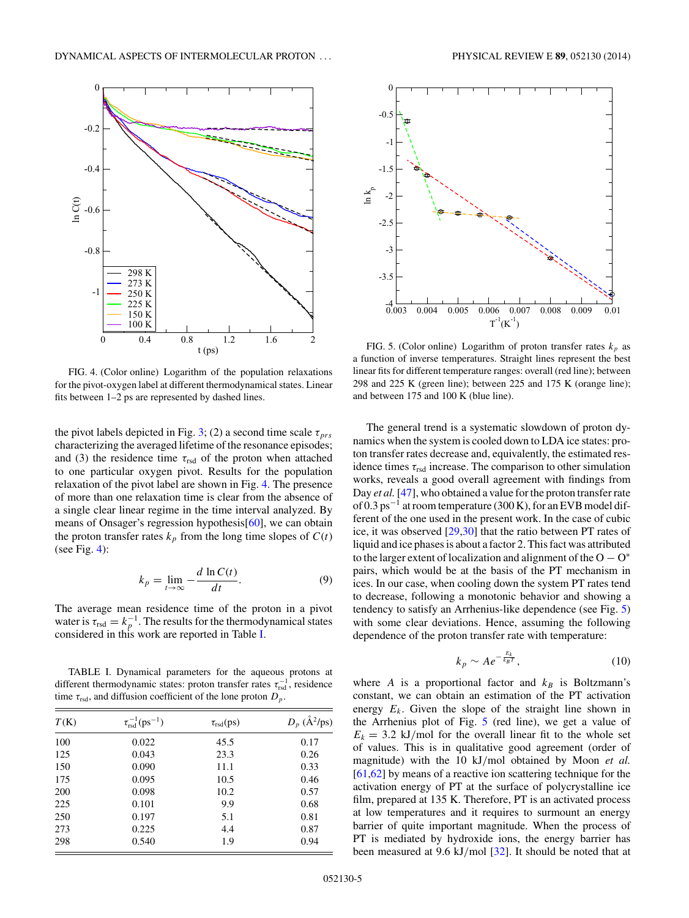<span id="page-4-0"></span>

FIG. 4. (Color online) Logarithm of the population relaxations for the pivot-oxygen label at different thermodynamical states. Linear fits between 1–2 ps are represented by dashed lines.

the pivot labels depicted in Fig. [3;](#page-3-0) (2) a second time scale  $\tau_{prs}$ characterizing the averaged lifetime of the resonance episodes; and (3) the residence time  $\tau_{rsd}$  of the proton when attached to one particular oxygen pivot. Results for the population relaxation of the pivot label are shown in Fig. 4. The presence of more than one relaxation time is clear from the absence of a single clear linear regime in the time interval analyzed. By means of Onsager's regression hypothesis[\[60\]](#page-8-0), we can obtain the proton transfer rates  $k_p$  from the long time slopes of  $C(t)$ (see Fig.  $4$ ):

$$
k_p = \lim_{t \to \infty} -\frac{d \ln C(t)}{dt}.
$$
 (9)

The average mean residence time of the proton in a pivot water is  $\tau_{\text{rsd}} = k_p^{-1}$ . The results for the thermodynamical states considered in this work are reported in Table I.

TABLE I. Dynamical parameters for the aqueous protons at different thermodynamic states: proton transfer rates  $\tau_{\text{rsd}}^{-1}$ , residence time  $\tau_{rsd}$ , and diffusion coefficient of the lone proton  $D_p$ .

| T(K) | $\tau_{rsd}^{-1}(ps^{-1})$ | $\tau_{rsd}(ps)$ | $D_p$ ( $\AA^2$ /ps) |
|------|----------------------------|------------------|----------------------|
| 100  | 0.022                      | 45.5             | 0.17                 |
| 125  | 0.043                      | 23.3             | 0.26                 |
| 150  | 0.090                      | 11.1             | 0.33                 |
| 175  | 0.095                      | 10.5             | 0.46                 |
| 200  | 0.098                      | 10.2             | 0.57                 |
| 225  | 0.101                      | 9.9              | 0.68                 |
| 250  | 0.197                      | 5.1              | 0.81                 |
| 273  | 0.225                      | 4.4              | 0.87                 |
| 298  | 0.540                      | 1.9              | 0.94                 |



FIG. 5. (Color online) Logarithm of proton transfer rates  $k_p$  as a function of inverse temperatures. Straight lines represent the best linear fits for different temperature ranges: overall (red line); between 298 and 225 K (green line); between 225 and 175 K (orange line); and between 175 and 100 K (blue line).

The general trend is a systematic slowdown of proton dynamics when the system is cooled down to LDA ice states: proton transfer rates decrease and, equivalently, the estimated residence times  $\tau_{rsd}$  increase. The comparison to other simulation works, reveals a good overall agreement with findings from Day *et al.* [\[47\]](#page-8-0), who obtained a value for the proton transfer rate of 0.3 ps<sup> $-1$ </sup> at room temperature (300 K), for an EVB model different of the one used in the present work. In the case of cubic ice, it was observed [\[29,30\]](#page-8-0) that the ratio between PT rates of liquid and ice phases is about a factor 2. This fact was attributed to the larger extent of localization and alignment of the  $O - O^*$ pairs, which would be at the basis of the PT mechanism in ices. In our case, when cooling down the system PT rates tend to decrease, following a monotonic behavior and showing a tendency to satisfy an Arrhenius-like dependence (see Fig. 5) with some clear deviations. Hence, assuming the following dependence of the proton transfer rate with temperature:

$$
k_p \sim A e^{-\frac{E_k}{k_B T}},\tag{10}
$$

where *A* is a proportional factor and  $k_B$  is Boltzmann's constant, we can obtain an estimation of the PT activation energy  $E_k$ . Given the slope of the straight line shown in the Arrhenius plot of Fig. 5 (red line), we get a value of  $E_k = 3.2$  kJ/mol for the overall linear fit to the whole set of values. This is in qualitative good agreement (order of magnitude) with the 10 kJ*/*mol obtained by Moon *et al.* [\[61,](#page-8-0)[62\]](#page-9-0) by means of a reactive ion scattering technique for the activation energy of PT at the surface of polycrystalline ice film, prepared at 135 K. Therefore, PT is an activated process at low temperatures and it requires to surmount an energy barrier of quite important magnitude. When the process of PT is mediated by hydroxide ions, the energy barrier has been measured at 9.6 kJ*/*mol [\[32\]](#page-8-0). It should be noted that at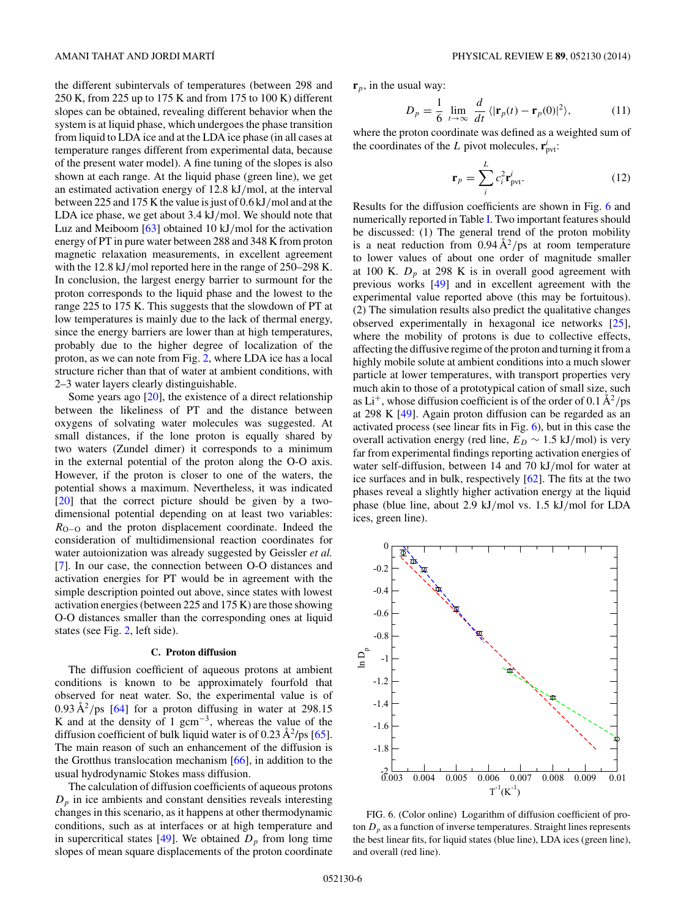the different subintervals of temperatures (between 298 and 250 K, from 225 up to 175 K and from 175 to 100 K) different slopes can be obtained, revealing different behavior when the system is at liquid phase, which undergoes the phase transition from liquid to LDA ice and at the LDA ice phase (in all cases at temperature ranges different from experimental data, because of the present water model). A fine tuning of the slopes is also shown at each range. At the liquid phase (green line), we get an estimated activation energy of 12.8 kJ*/*mol, at the interval between 225 and 175 K the value is just of 0.6 kJ*/*mol and at the LDA ice phase, we get about 3.4 kJ*/*mol. We should note that Luz and Meiboom [\[63\]](#page-9-0) obtained 10 kJ*/*mol for the activation energy of PT in pure water between 288 and 348 K from proton magnetic relaxation measurements, in excellent agreement with the 12.8 kJ*/*mol reported here in the range of 250–298 K. In conclusion, the largest energy barrier to surmount for the proton corresponds to the liquid phase and the lowest to the range 225 to 175 K. This suggests that the slowdown of PT at low temperatures is mainly due to the lack of thermal energy, since the energy barriers are lower than at high temperatures, probably due to the higher degree of localization of the proton, as we can note from Fig. [2,](#page-2-0) where LDA ice has a local structure richer than that of water at ambient conditions, with 2–3 water layers clearly distinguishable.

Some years ago [\[20\]](#page-8-0), the existence of a direct relationship between the likeliness of PT and the distance between oxygens of solvating water molecules was suggested. At small distances, if the lone proton is equally shared by two waters (Zundel dimer) it corresponds to a minimum in the external potential of the proton along the O-O axis. However, if the proton is closer to one of the waters, the potential shows a maximum. Nevertheless, it was indicated [\[20\]](#page-8-0) that the correct picture should be given by a twodimensional potential depending on at least two variables: *R*<sub>O−O</sub> and the proton displacement coordinate. Indeed the consideration of multidimensional reaction coordinates for water autoionization was already suggested by Geissler *et al.* [\[7\]](#page-8-0). In our case, the connection between O-O distances and activation energies for PT would be in agreement with the simple description pointed out above, since states with lowest activation energies (between 225 and 175 K) are those showing O-O distances smaller than the corresponding ones at liquid states (see Fig. [2,](#page-2-0) left side).

#### **C. Proton diffusion**

The diffusion coefficient of aqueous protons at ambient conditions is known to be approximately fourfold that observed for neat water. So, the experimental value is of  $0.93 \text{ Å}^2/\text{ps}$  [\[64\]](#page-9-0) for a proton diffusing in water at 298.15 K and at the density of 1 gcm<sup>-3</sup>, whereas the value of the diffusion coefficient of bulk liquid water is of 0.23  $\rm \AA^2/ps$  [\[65\]](#page-9-0). The main reason of such an enhancement of the diffusion is the Grotthus translocation mechanism  $[66]$ , in addition to the usual hydrodynamic Stokes mass diffusion.

The calculation of diffusion coefficients of aqueous protons  $D_p$  in ice ambients and constant densities reveals interesting changes in this scenario, as it happens at other thermodynamic conditions, such as at interfaces or at high temperature and in supercritical states  $[49]$ . We obtained  $D<sub>p</sub>$  from long time slopes of mean square displacements of the proton coordinate **r***p*, in the usual way:

*D* 

$$
p = \frac{1}{6} \lim_{t \to \infty} \frac{d}{dt} \langle |\mathbf{r}_p(t) - \mathbf{r}_p(0)|^2 \rangle, \tag{11}
$$

where the proton coordinate was defined as a weighted sum of the coordinates of the *L* pivot molecules,  $\mathbf{r}_{\text{pvt}}^i$ :

$$
\mathbf{r}_p = \sum_i^L c_i^2 \mathbf{r}_{\text{pvt}}^i.
$$
 (12)

Results for the diffusion coefficients are shown in Fig. 6 and numerically reported in Table [I.](#page-4-0) Two important features should be discussed: (1) The general trend of the proton mobility is a neat reduction from  $0.94 \text{ Å}^2/\text{ps}$  at room temperature to lower values of about one order of magnitude smaller at 100 K.  $D_n$  at 298 K is in overall good agreement with previous works [\[49\]](#page-8-0) and in excellent agreement with the experimental value reported above (this may be fortuitous). (2) The simulation results also predict the qualitative changes observed experimentally in hexagonal ice networks [\[25\]](#page-8-0), where the mobility of protons is due to collective effects, affecting the diffusive regime of the proton and turning it from a highly mobile solute at ambient conditions into a much slower particle at lower temperatures, with transport properties very much akin to those of a prototypical cation of small size, such as  $Li^+$ , whose diffusion coefficient is of the order of 0.1  $\rm \AA^2/ps$ at 298 K [\[49\]](#page-8-0). Again proton diffusion can be regarded as an activated process (see linear fits in Fig.  $6$ ), but in this case the overall activation energy (red line,  $E_D \sim 1.5 \text{ kJ/mol}$ ) is very far from experimental findings reporting activation energies of water self-diffusion, between 14 and 70 kJ*/*mol for water at ice surfaces and in bulk, respectively [\[62\]](#page-9-0). The fits at the two phases reveal a slightly higher activation energy at the liquid phase (blue line, about 2.9 kJ*/*mol vs. 1.5 kJ*/*mol for LDA ices, green line).



FIG. 6. (Color online) Logarithm of diffusion coefficient of proton  $D_p$  as a function of inverse temperatures. Straight lines represents the best linear fits, for liquid states (blue line), LDA ices (green line), and overall (red line).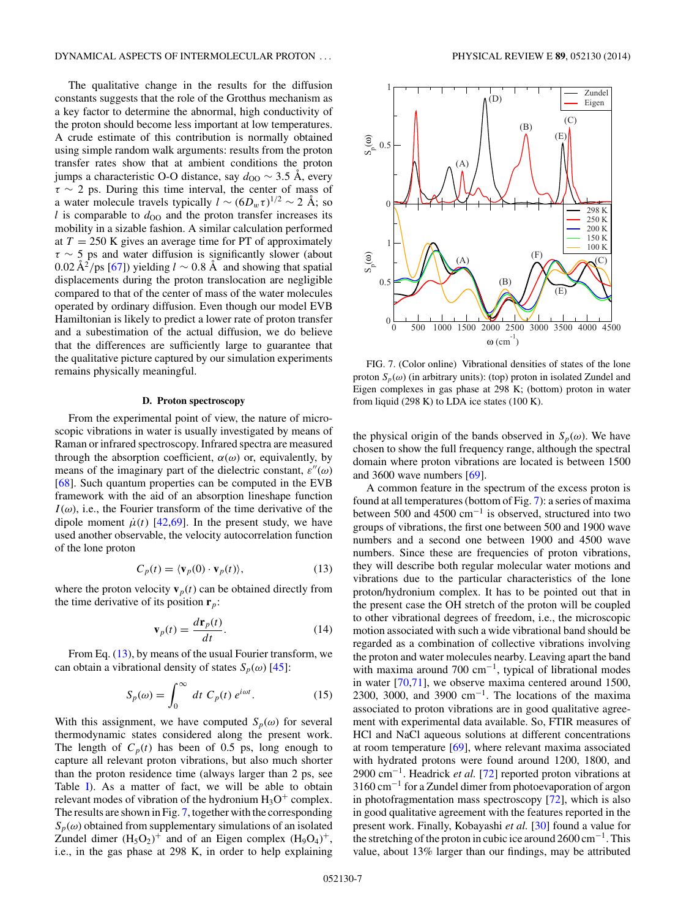<span id="page-6-0"></span>The qualitative change in the results for the diffusion constants suggests that the role of the Grotthus mechanism as a key factor to determine the abnormal, high conductivity of the proton should become less important at low temperatures. A crude estimate of this contribution is normally obtained using simple random walk arguments: results from the proton transfer rates show that at ambient conditions the proton jumps a characteristic O-O distance, say  $d_{OO}$  ~ 3.5 Å, every *τ* ∼ 2 ps. During this time interval, the center of mass of a water molecule travels typically  $l \sim (6D_w \tau)^{1/2} \sim 2 \text{ Å}$ ; so  $l$  is comparable to  $d_{OO}$  and the proton transfer increases its mobility in a sizable fashion. A similar calculation performed at  $T = 250$  K gives an average time for PT of approximately *τ* ∼ 5 ps and water diffusion is significantly slower (about 0.02  $\rm \AA^2/ps$  [\[67\]](#page-9-0)) yielding *l* ~ 0.8 Å and showing that spatial displacements during the proton translocation are negligible compared to that of the center of mass of the water molecules operated by ordinary diffusion. Even though our model EVB Hamiltonian is likely to predict a lower rate of proton transfer and a subestimation of the actual diffusion, we do believe that the differences are sufficiently large to guarantee that the qualitative picture captured by our simulation experiments remains physically meaningful.

### **D. Proton spectroscopy**

From the experimental point of view, the nature of microscopic vibrations in water is usually investigated by means of Raman or infrared spectroscopy. Infrared spectra are measured through the absorption coefficient,  $\alpha(\omega)$  or, equivalently, by means of the imaginary part of the dielectric constant,  $\varepsilon''(\omega)$ [\[68\]](#page-9-0). Such quantum properties can be computed in the EVB framework with the aid of an absorption lineshape function  $I(\omega)$ , i.e., the Fourier transform of the time derivative of the dipole moment  $\mu(t)$  [\[42](#page-8-0)[,69\]](#page-9-0). In the present study, we have used another observable, the velocity autocorrelation function of the lone proton

$$
C_p(t) = \langle \mathbf{v}_p(0) \cdot \mathbf{v}_p(t) \rangle, \tag{13}
$$

where the proton velocity  $\mathbf{v}_p(t)$  can be obtained directly from the time derivative of its position  $\mathbf{r}_p$ :

$$
\mathbf{v}_p(t) = \frac{d\mathbf{r}_p(t)}{dt}.\tag{14}
$$

From Eq. (13), by means of the usual Fourier transform, we can obtain a vibrational density of states  $S_p(\omega)$  [\[45\]](#page-8-0):

$$
S_p(\omega) = \int_0^\infty dt \ C_p(t) \ e^{i\omega t}.
$$
 (15)

With this assignment, we have computed  $S_p(\omega)$  for several thermodynamic states considered along the present work. The length of  $C_p(t)$  has been of 0.5 ps, long enough to capture all relevant proton vibrations, but also much shorter than the proton residence time (always larger than 2 ps, see Table [I\)](#page-4-0). As a matter of fact, we will be able to obtain relevant modes of vibration of the hydronium  $H_3O^+$  complex. The results are shown in Fig. 7, together with the corresponding  $S_p(\omega)$  obtained from supplementary simulations of an isolated Zundel dimer  $(H_5O_2)^+$  and of an Eigen complex  $(H_9O_4)^+$ , i.e., in the gas phase at 298 K, in order to help explaining



FIG. 7. (Color online) Vibrational densities of states of the lone proton  $S_p(\omega)$  (in arbitrary units): (top) proton in isolated Zundel and Eigen complexes in gas phase at 298 K; (bottom) proton in water from liquid (298 K) to LDA ice states (100 K).

the physical origin of the bands observed in  $S_p(\omega)$ . We have chosen to show the full frequency range, although the spectral domain where proton vibrations are located is between 1500 and 3600 wave numbers [\[69\]](#page-9-0).

A common feature in the spectrum of the excess proton is found at all temperatures (bottom of Fig. 7): a series of maxima between 500 and 4500 cm<sup>−</sup><sup>1</sup> is observed, structured into two groups of vibrations, the first one between 500 and 1900 wave numbers and a second one between 1900 and 4500 wave numbers. Since these are frequencies of proton vibrations, they will describe both regular molecular water motions and vibrations due to the particular characteristics of the lone proton/hydronium complex. It has to be pointed out that in the present case the OH stretch of the proton will be coupled to other vibrational degrees of freedom, i.e., the microscopic motion associated with such a wide vibrational band should be regarded as a combination of collective vibrations involving the proton and water molecules nearby. Leaving apart the band with maxima around 700 cm<sup>-1</sup>, typical of librational modes in water [\[70,71\]](#page-9-0), we observe maxima centered around 1500, 2300, 3000, and 3900  $cm^{-1}$ . The locations of the maxima associated to proton vibrations are in good qualitative agreement with experimental data available. So, FTIR measures of HCl and NaCl aqueous solutions at different concentrations at room temperature [\[69\]](#page-9-0), where relevant maxima associated with hydrated protons were found around 1200, 1800, and 2900 cm<sup>−</sup>1. Headrick *et al.* [\[72\]](#page-9-0) reported proton vibrations at 3160 cm<sup>−</sup><sup>1</sup> for a Zundel dimer from photoevaporation of argon in photofragmentation mass spectroscopy [\[72\]](#page-9-0), which is also in good qualitative agreement with the features reported in the present work. Finally, Kobayashi *et al.* [\[30\]](#page-8-0) found a value for the stretching of the proton in cubic ice around  $2600 \text{ cm}^{-1}$ . This value, about 13% larger than our findings, may be attributed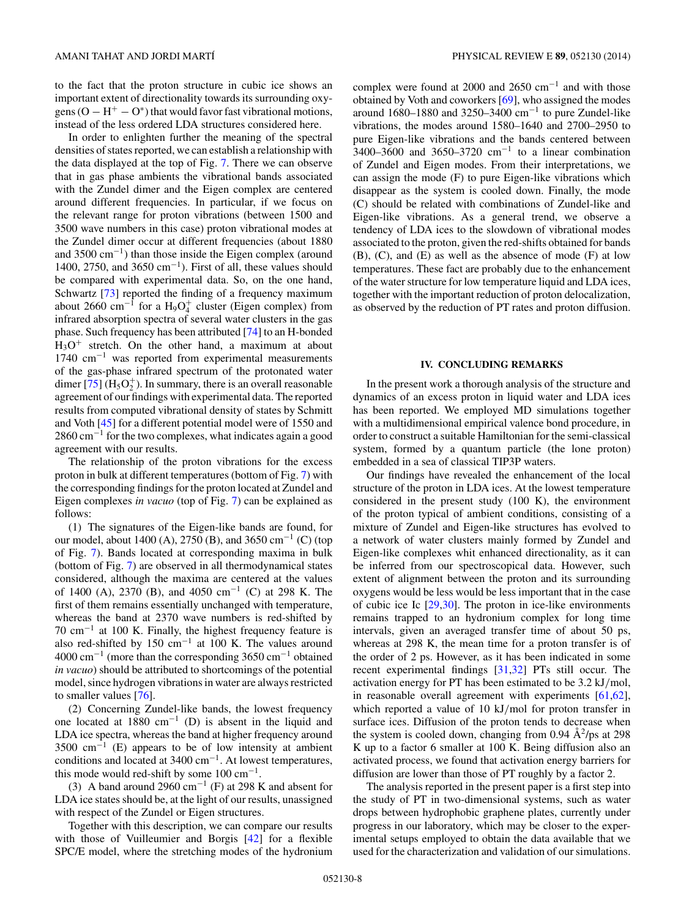<span id="page-7-0"></span>to the fact that the proton structure in cubic ice shows an important extent of directionality towards its surrounding oxygens  $(O - H^+ - O^*)$  that would favor fast vibrational motions, instead of the less ordered LDA structures considered here.

In order to enlighten further the meaning of the spectral densities of states reported, we can establish a relationship with the data displayed at the top of Fig. [7.](#page-6-0) There we can observe that in gas phase ambients the vibrational bands associated with the Zundel dimer and the Eigen complex are centered around different frequencies. In particular, if we focus on the relevant range for proton vibrations (between 1500 and 3500 wave numbers in this case) proton vibrational modes at the Zundel dimer occur at different frequencies (about 1880 and 3500  $\text{cm}^{-1}$ ) than those inside the Eigen complex (around 1400, 2750, and 3650 cm<sup>-1</sup>). First of all, these values should be compared with experimental data. So, on the one hand, Schwartz [\[73\]](#page-9-0) reported the finding of a frequency maximum about 2660 cm<sup>-1</sup> for a H<sub>9</sub>O<sup>+</sup><sub>4</sub> cluster (Eigen complex) from infrared absorption spectra of several water clusters in the gas phase. Such frequency has been attributed [\[74\]](#page-9-0) to an H-bonded  $H_3O^+$  stretch. On the other hand, a maximum at about 1740 cm<sup>−</sup><sup>1</sup> was reported from experimental measurements of the gas-phase infrared spectrum of the protonated water dimer [\[75\]](#page-9-0)  $(H_5O_2^+)$ . In summary, there is an overall reasonable agreement of our findings with experimental data. The reported results from computed vibrational density of states by Schmitt and Voth [\[45\]](#page-8-0) for a different potential model were of 1550 and  $2860 \text{ cm}^{-1}$  for the two complexes, what indicates again a good agreement with our results.

The relationship of the proton vibrations for the excess proton in bulk at different temperatures (bottom of Fig. [7\)](#page-6-0) with the corresponding findings for the proton located at Zundel and Eigen complexes *in vacuo* (top of Fig. [7\)](#page-6-0) can be explained as follows:

(1) The signatures of the Eigen-like bands are found, for our model, about 1400 (A), 2750 (B), and 3650 cm<sup>-1</sup> (C) (top of Fig. [7\)](#page-6-0). Bands located at corresponding maxima in bulk (bottom of Fig. [7\)](#page-6-0) are observed in all thermodynamical states considered, although the maxima are centered at the values of 1400 (A), 2370 (B), and 4050 cm<sup>-1</sup> (C) at 298 K. The first of them remains essentially unchanged with temperature, whereas the band at 2370 wave numbers is red-shifted by  $70 \text{ cm}^{-1}$  at 100 K. Finally, the highest frequency feature is also red-shifted by 150 cm<sup>−</sup><sup>1</sup> at 100 K. The values around 4000 cm<sup>-1</sup> (more than the corresponding 3650 cm<sup>-1</sup> obtained *in vacuo*) should be attributed to shortcomings of the potential model, since hydrogen vibrations in water are always restricted to smaller values [\[76\]](#page-9-0).

(2) Concerning Zundel-like bands, the lowest frequency one located at  $1880 \text{ cm}^{-1}$  (D) is absent in the liquid and LDA ice spectra, whereas the band at higher frequency around  $3500 \text{ cm}^{-1}$  (E) appears to be of low intensity at ambient conditions and located at  $3400 \text{ cm}^{-1}$ . At lowest temperatures, this mode would red-shift by some  $100 \text{ cm}^{-1}$ .

(3) A band around 2960 cm<sup>-1</sup> (F) at 298 K and absent for LDA ice states should be, at the light of our results, unassigned with respect of the Zundel or Eigen structures.

Together with this description, we can compare our results with those of Vuilleumier and Borgis [\[42\]](#page-8-0) for a flexible SPC/E model, where the stretching modes of the hydronium

complex were found at 2000 and 2650 cm<sup>−</sup><sup>1</sup> and with those obtained by Voth and coworkers [\[69\]](#page-9-0), who assigned the modes around 1680–1880 and 3250–3400 cm<sup>-1</sup> to pure Zundel-like vibrations, the modes around 1580–1640 and 2700–2950 to pure Eigen-like vibrations and the bands centered between  $3400-3600$  and  $3650-3720$  cm<sup>-1</sup> to a linear combination of Zundel and Eigen modes. From their interpretations, we can assign the mode (F) to pure Eigen-like vibrations which disappear as the system is cooled down. Finally, the mode (C) should be related with combinations of Zundel-like and Eigen-like vibrations. As a general trend, we observe a tendency of LDA ices to the slowdown of vibrational modes associated to the proton, given the red-shifts obtained for bands (B), (C), and (E) as well as the absence of mode (F) at low temperatures. These fact are probably due to the enhancement of the water structure for low temperature liquid and LDA ices, together with the important reduction of proton delocalization, as observed by the reduction of PT rates and proton diffusion.

# **IV. CONCLUDING REMARKS**

In the present work a thorough analysis of the structure and dynamics of an excess proton in liquid water and LDA ices has been reported. We employed MD simulations together with a multidimensional empirical valence bond procedure, in order to construct a suitable Hamiltonian for the semi-classical system, formed by a quantum particle (the lone proton) embedded in a sea of classical TIP3P waters.

Our findings have revealed the enhancement of the local structure of the proton in LDA ices. At the lowest temperature considered in the present study (100 K), the environment of the proton typical of ambient conditions, consisting of a mixture of Zundel and Eigen-like structures has evolved to a network of water clusters mainly formed by Zundel and Eigen-like complexes whit enhanced directionality, as it can be inferred from our spectroscopical data. However, such extent of alignment between the proton and its surrounding oxygens would be less would be less important that in the case of cubic ice Ic [\[29,30\]](#page-8-0). The proton in ice-like environments remains trapped to an hydronium complex for long time intervals, given an averaged transfer time of about 50 ps, whereas at 298 K, the mean time for a proton transfer is of the order of 2 ps. However, as it has been indicated in some recent experimental findings [\[31,32\]](#page-8-0) PTs still occur. The activation energy for PT has been estimated to be 3.2 kJ*/*mol, in reasonable overall agreement with experiments [\[61](#page-8-0)[,62\]](#page-9-0), which reported a value of 10 kJ*/*mol for proton transfer in surface ices. Diffusion of the proton tends to decrease when the system is cooled down, changing from 0.94  $\AA^2$ /ps at 298 K up to a factor 6 smaller at 100 K. Being diffusion also an activated process, we found that activation energy barriers for diffusion are lower than those of PT roughly by a factor 2.

The analysis reported in the present paper is a first step into the study of PT in two-dimensional systems, such as water drops between hydrophobic graphene plates, currently under progress in our laboratory, which may be closer to the experimental setups employed to obtain the data available that we used for the characterization and validation of our simulations.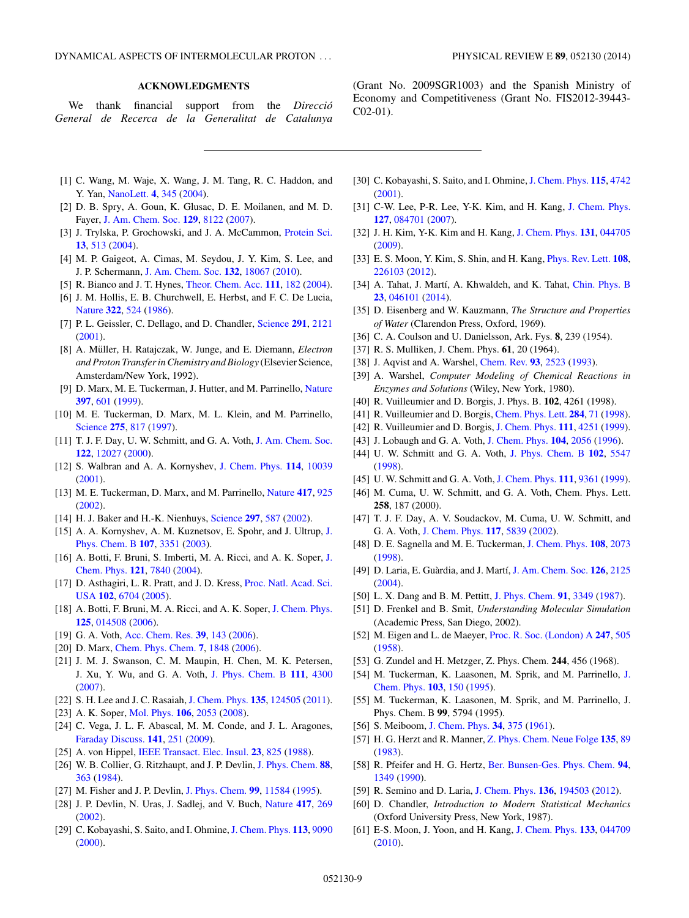# **ACKNOWLEDGMENTS**

<span id="page-8-0"></span>We thank financial support from the *Direccio´ General de Recerca de la Generalitat de Catalunya*

(Grant No. 2009SGR1003) and the Spanish Ministry of Economy and Competitiveness (Grant No. FIS2012-39443- C02-01).

- [1] C. Wang, M. Waje, X. Wang, J. M. Tang, R. C. Haddon, and Y. Yan, [NanoLett.](http://dx.doi.org/10.1021/nl034952p) **[4](http://dx.doi.org/10.1021/nl034952p)**, [345](http://dx.doi.org/10.1021/nl034952p) [\(2004\)](http://dx.doi.org/10.1021/nl034952p).
- [2] D. B. Spry, A. Goun, K. Glusac, D. E. Moilanen, and M. D. Fayer, [J. Am. Chem. Soc.](http://dx.doi.org/10.1021/ja071939o) **[129](http://dx.doi.org/10.1021/ja071939o)**, [8122](http://dx.doi.org/10.1021/ja071939o) [\(2007\)](http://dx.doi.org/10.1021/ja071939o).
- [3] J. Trylska, P. Grochowski, and J. A. McCammon, [Protein Sci.](http://dx.doi.org/10.1110/ps.03372304) **[13](http://dx.doi.org/10.1110/ps.03372304)**, [513](http://dx.doi.org/10.1110/ps.03372304) [\(2004\)](http://dx.doi.org/10.1110/ps.03372304).
- [4] M. P. Gaigeot, A. Cimas, M. Seydou, J. Y. Kim, S. Lee, and J. P. Schermann, [J. Am. Chem. Soc.](http://dx.doi.org/10.1021/ja103759v) **[132](http://dx.doi.org/10.1021/ja103759v)**, [18067](http://dx.doi.org/10.1021/ja103759v) [\(2010\)](http://dx.doi.org/10.1021/ja103759v).
- [5] R. Bianco and J. T. Hynes, [Theor. Chem. Acc.](http://dx.doi.org/10.1007/s00214-003-0524-5) **[111](http://dx.doi.org/10.1007/s00214-003-0524-5)**, [182](http://dx.doi.org/10.1007/s00214-003-0524-5) [\(2004\)](http://dx.doi.org/10.1007/s00214-003-0524-5).
- [6] J. M. Hollis, E. B. Churchwell, E. Herbst, and F. C. De Lucia, [Nature](http://dx.doi.org/10.1038/322524a0) **[322](http://dx.doi.org/10.1038/322524a0)**, [524](http://dx.doi.org/10.1038/322524a0) [\(1986\)](http://dx.doi.org/10.1038/322524a0).
- [7] P. L. Geissler, C. Dellago, and D. Chandler, [Science](http://dx.doi.org/10.1126/science.1056991) **[291](http://dx.doi.org/10.1126/science.1056991)**, [2121](http://dx.doi.org/10.1126/science.1056991) [\(2001\)](http://dx.doi.org/10.1126/science.1056991).
- [8] A. Müller, H. Ratajczak, W. Junge, and E. Diemann, *Electron and Proton Transfer in Chemistry and Biology* (Elsevier Science, Amsterdam/New York, 1992).
- [9] D. Marx, M. E. Tuckerman, J. Hutter, and M. Parrinello, [Nature](http://dx.doi.org/10.1038/17579) **[397](http://dx.doi.org/10.1038/17579)**, [601](http://dx.doi.org/10.1038/17579) [\(1999\)](http://dx.doi.org/10.1038/17579).
- [10] M. E. Tuckerman, D. Marx, M. L. Klein, and M. Parrinello, [Science](http://dx.doi.org/10.1126/science.275.5301.817) **[275](http://dx.doi.org/10.1126/science.275.5301.817)**, [817](http://dx.doi.org/10.1126/science.275.5301.817) [\(1997\)](http://dx.doi.org/10.1126/science.275.5301.817).
- [11] T. J. F. Day, U. W. Schmitt, and G. A. Voth, [J. Am. Chem. Soc.](http://dx.doi.org/10.1021/ja002506n) **[122](http://dx.doi.org/10.1021/ja002506n)**, [12027](http://dx.doi.org/10.1021/ja002506n) [\(2000\)](http://dx.doi.org/10.1021/ja002506n).
- [12] S. Walbran and A. A. Kornyshev, [J. Chem. Phys.](http://dx.doi.org/10.1063/1.1370393) **[114](http://dx.doi.org/10.1063/1.1370393)**, [10039](http://dx.doi.org/10.1063/1.1370393) [\(2001\)](http://dx.doi.org/10.1063/1.1370393).
- [13] M. E. Tuckerman, D. Marx, and M. Parrinello, [Nature](http://dx.doi.org/10.1038/nature00797) **[417](http://dx.doi.org/10.1038/nature00797)**, [925](http://dx.doi.org/10.1038/nature00797) [\(2002\)](http://dx.doi.org/10.1038/nature00797).
- [14] H. J. Baker and H.-K. Nienhuys, [Science](http://dx.doi.org/10.1126/science.1073298) **[297](http://dx.doi.org/10.1126/science.1073298)**, [587](http://dx.doi.org/10.1126/science.1073298) [\(2002\)](http://dx.doi.org/10.1126/science.1073298).
- [15] [A. A. Kornyshev, A. M. Kuznetsov, E. Spohr, and J. Ultrup,](http://dx.doi.org/10.1021/jp020857d) J. Phys. Chem. B **[107](http://dx.doi.org/10.1021/jp020857d)**, [3351](http://dx.doi.org/10.1021/jp020857d) [\(2003\)](http://dx.doi.org/10.1021/jp020857d).
- [16] [A. Botti, F. Bruni, S. Imberti, M. A. Ricci, and A. K. Soper,](http://dx.doi.org/10.1063/1.1801031) J. Chem. Phys. **[121](http://dx.doi.org/10.1063/1.1801031)**, [7840](http://dx.doi.org/10.1063/1.1801031) [\(2004\)](http://dx.doi.org/10.1063/1.1801031).
- [17] [D. Asthagiri, L. R. Pratt, and J. D. Kress,](http://dx.doi.org/10.1073/pnas.0408071102) Proc. Natl. Acad. Sci. USA **[102](http://dx.doi.org/10.1073/pnas.0408071102)**, [6704](http://dx.doi.org/10.1073/pnas.0408071102) [\(2005\)](http://dx.doi.org/10.1073/pnas.0408071102).
- [18] A. Botti, F. Bruni, M. A. Ricci, and A. K. Soper, [J. Chem. Phys.](http://dx.doi.org/10.1063/1.2212421) **[125](http://dx.doi.org/10.1063/1.2212421)**, [014508](http://dx.doi.org/10.1063/1.2212421) [\(2006\)](http://dx.doi.org/10.1063/1.2212421).
- [19] G. A. Voth, [Acc. Chem. Res.](http://dx.doi.org/10.1021/ar0402098) **[39](http://dx.doi.org/10.1021/ar0402098)**, [143](http://dx.doi.org/10.1021/ar0402098) [\(2006\)](http://dx.doi.org/10.1021/ar0402098).
- [20] D. Marx, [Chem. Phys. Chem.](http://dx.doi.org/10.1002/cphc.200600128) **[7](http://dx.doi.org/10.1002/cphc.200600128)**, [1848](http://dx.doi.org/10.1002/cphc.200600128) [\(2006\)](http://dx.doi.org/10.1002/cphc.200600128).
- [21] J. M. J. Swanson, C. M. Maupin, H. Chen, M. K. Petersen, J. Xu, Y. Wu, and G. A. Voth, [J. Phys. Chem. B](http://dx.doi.org/10.1021/jp070104x) **[111](http://dx.doi.org/10.1021/jp070104x)**, [4300](http://dx.doi.org/10.1021/jp070104x) [\(2007\)](http://dx.doi.org/10.1021/jp070104x).
- [22] S. H. Lee and J. C. Rasaiah, [J. Chem. Phys.](http://dx.doi.org/10.1063/1.3632990) **[135](http://dx.doi.org/10.1063/1.3632990)**, [124505](http://dx.doi.org/10.1063/1.3632990) [\(2011\)](http://dx.doi.org/10.1063/1.3632990).
- [23] A. K. Soper, [Mol. Phys.](http://dx.doi.org/10.1080/00268970802116146) **[106](http://dx.doi.org/10.1080/00268970802116146)**, [2053](http://dx.doi.org/10.1080/00268970802116146) [\(2008\)](http://dx.doi.org/10.1080/00268970802116146).
- [24] C. Vega, J. L. F. Abascal, M. M. Conde, and J. L. Aragones, [Faraday Discuss.](http://dx.doi.org/10.1039/b805531a) **[141](http://dx.doi.org/10.1039/b805531a)**, [251](http://dx.doi.org/10.1039/b805531a) [\(2009\)](http://dx.doi.org/10.1039/b805531a).
- [25] A. von Hippel, [IEEE Transact. Elec. Insul.](http://dx.doi.org/10.1109/14.8744) **[23](http://dx.doi.org/10.1109/14.8744)**, [825](http://dx.doi.org/10.1109/14.8744) [\(1988\)](http://dx.doi.org/10.1109/14.8744).
- [26] W. B. Collier, G. Ritzhaupt, and J. P. Devlin, [J. Phys. Chem.](http://dx.doi.org/10.1021/j150647a008) **[88](http://dx.doi.org/10.1021/j150647a008)**, [363](http://dx.doi.org/10.1021/j150647a008) [\(1984\)](http://dx.doi.org/10.1021/j150647a008).
- [27] M. Fisher and J. P. Devlin, [J. Phys. Chem.](http://dx.doi.org/10.1021/j100029a041) **[99](http://dx.doi.org/10.1021/j100029a041)**, [11584](http://dx.doi.org/10.1021/j100029a041) [\(1995\)](http://dx.doi.org/10.1021/j100029a041).
- [28] J. P. Devlin, N. Uras, J. Sadlej, and V. Buch, [Nature](http://dx.doi.org/10.1038/417269a) **[417](http://dx.doi.org/10.1038/417269a)**, [269](http://dx.doi.org/10.1038/417269a) [\(2002\)](http://dx.doi.org/10.1038/417269a).
- [29] C. Kobayashi, S. Saito, and I. Ohmine,[J. Chem. Phys.](http://dx.doi.org/10.1063/1.1319636) **[113](http://dx.doi.org/10.1063/1.1319636)**, [9090](http://dx.doi.org/10.1063/1.1319636)  $(2000).$  $(2000).$
- [30] C. Kobayashi, S. Saito, and I. Ohmine,[J. Chem. Phys.](http://dx.doi.org/10.1063/1.1394935) **[115](http://dx.doi.org/10.1063/1.1394935)**, [4742](http://dx.doi.org/10.1063/1.1394935) [\(2001\)](http://dx.doi.org/10.1063/1.1394935).
- [31] C-W. Lee, P-R. Lee, Y-K. Kim, and H. Kang, [J. Chem. Phys.](http://dx.doi.org/10.1063/1.2759917) **[127](http://dx.doi.org/10.1063/1.2759917)**, [084701](http://dx.doi.org/10.1063/1.2759917) [\(2007\)](http://dx.doi.org/10.1063/1.2759917).
- [32] J. H. Kim, Y-K. Kim and H. Kang, [J. Chem. Phys.](http://dx.doi.org/10.1063/1.3187544) **[131](http://dx.doi.org/10.1063/1.3187544)**, [044705](http://dx.doi.org/10.1063/1.3187544) [\(2009\)](http://dx.doi.org/10.1063/1.3187544).
- [33] E. S. Moon, Y. Kim, S. Shin, and H. Kang, [Phys. Rev. Lett.](http://dx.doi.org/10.1103/PhysRevLett.108.226103) **[108](http://dx.doi.org/10.1103/PhysRevLett.108.226103)**, [226103](http://dx.doi.org/10.1103/PhysRevLett.108.226103) [\(2012\)](http://dx.doi.org/10.1103/PhysRevLett.108.226103).
- [34] A. Tahat, J. Martí, A. Khwaldeh, and K. Tahat, [Chin. Phys. B](http://dx.doi.org/10.1088/1674-1056/23/4/046101) **[23](http://dx.doi.org/10.1088/1674-1056/23/4/046101)**, [046101](http://dx.doi.org/10.1088/1674-1056/23/4/046101) [\(2014\)](http://dx.doi.org/10.1088/1674-1056/23/4/046101).
- [35] D. Eisenberg and W. Kauzmann, *The Structure and Properties of Water* (Clarendon Press, Oxford, 1969).
- [36] C. A. Coulson and U. Danielsson, Ark. Fys. **8**, 239 (1954).
- [37] R. S. Mulliken, J. Chem. Phys. **61**, 20 (1964).
- [38] J. Aqvist and A. Warshel, [Chem. Rev.](http://dx.doi.org/10.1021/cr00023a010) **[93](http://dx.doi.org/10.1021/cr00023a010)**, [2523](http://dx.doi.org/10.1021/cr00023a010) [\(1993\)](http://dx.doi.org/10.1021/cr00023a010).
- [39] A. Warshel, *Computer Modeling of Chemical Reactions in Enzymes and Solutions* (Wiley, New York, 1980).
- [40] R. Vuilleumier and D. Borgis, J. Phys. B. **102**, 4261 (1998).
- [41] R. Vuilleumier and D. Borgis, [Chem. Phys. Lett.](http://dx.doi.org/10.1016/S0009-2614(97)01365-1) **[284](http://dx.doi.org/10.1016/S0009-2614(97)01365-1)**, [71](http://dx.doi.org/10.1016/S0009-2614(97)01365-1) [\(1998\)](http://dx.doi.org/10.1016/S0009-2614(97)01365-1).
- [42] R. Vuilleumier and D. Borgis, [J. Chem. Phys.](http://dx.doi.org/10.1063/1.479723) **[111](http://dx.doi.org/10.1063/1.479723)**, [4251](http://dx.doi.org/10.1063/1.479723) [\(1999\)](http://dx.doi.org/10.1063/1.479723).
- [43] J. Lobaugh and G. A. Voth, [J. Chem. Phys.](http://dx.doi.org/10.1063/1.470962) **[104](http://dx.doi.org/10.1063/1.470962)**, [2056](http://dx.doi.org/10.1063/1.470962) [\(1996\)](http://dx.doi.org/10.1063/1.470962).
- [44] U. W. Schmitt and G. A. Voth, [J. Phys. Chem. B](http://dx.doi.org/10.1021/jp9818131) **[102](http://dx.doi.org/10.1021/jp9818131)**, [5547](http://dx.doi.org/10.1021/jp9818131) [\(1998\)](http://dx.doi.org/10.1021/jp9818131).
- [45] U. W. Schmitt and G. A. Voth, [J. Chem. Phys.](http://dx.doi.org/10.1063/1.480032) **[111](http://dx.doi.org/10.1063/1.480032)**, [9361](http://dx.doi.org/10.1063/1.480032) [\(1999\)](http://dx.doi.org/10.1063/1.480032).
- [46] M. Cuma, U. W. Schmitt, and G. A. Voth, Chem. Phys. Lett. **258**, 187 (2000).
- [47] T. J. F. Day, A. V. Soudackov, M. Cuma, U. W. Schmitt, and G. A. Voth, [J. Chem. Phys.](http://dx.doi.org/10.1063/1.1497157) **[117](http://dx.doi.org/10.1063/1.1497157)**, [5839](http://dx.doi.org/10.1063/1.1497157) [\(2002\)](http://dx.doi.org/10.1063/1.1497157).
- [48] D. E. Sagnella and M. E. Tuckerman, [J. Chem. Phys.](http://dx.doi.org/10.1063/1.475586) **[108](http://dx.doi.org/10.1063/1.475586)**, [2073](http://dx.doi.org/10.1063/1.475586) [\(1998\)](http://dx.doi.org/10.1063/1.475586).
- [49] D. Laria, E. Guàrdia, and J. Martí, [J. Am. Chem. Soc.](http://dx.doi.org/10.1021/ja0373418) [126](http://dx.doi.org/10.1021/ja0373418), [2125](http://dx.doi.org/10.1021/ja0373418) [\(2004\)](http://dx.doi.org/10.1021/ja0373418).
- [50] L. X. Dang and B. M. Pettitt, [J. Phys. Chem.](http://dx.doi.org/10.1021/j100296a048) **[91](http://dx.doi.org/10.1021/j100296a048)**, [3349](http://dx.doi.org/10.1021/j100296a048) [\(1987\)](http://dx.doi.org/10.1021/j100296a048).
- [51] D. Frenkel and B. Smit, *Understanding Molecular Simulation* (Academic Press, San Diego, 2002).
- [52] M. Eigen and L. de Maeyer, [Proc. R. Soc. \(London\) A](http://dx.doi.org/10.1098/rspa.1958.0208) **[247](http://dx.doi.org/10.1098/rspa.1958.0208)**, [505](http://dx.doi.org/10.1098/rspa.1958.0208) [\(1958\)](http://dx.doi.org/10.1098/rspa.1958.0208).
- [53] G. Zundel and H. Metzger, Z. Phys. Chem. **244**, 456 (1968).
- [54] [M. Tuckerman, K. Laasonen, M. Sprik, and M. Parrinello,](http://dx.doi.org/10.1063/1.469654) J. Chem. Phys. **[103](http://dx.doi.org/10.1063/1.469654)**, [150](http://dx.doi.org/10.1063/1.469654) [\(1995\)](http://dx.doi.org/10.1063/1.469654).
- [55] M. Tuckerman, K. Laasonen, M. Sprik, and M. Parrinello, J. Phys. Chem. B **99**, 5794 (1995).
- [56] S. Meiboom, [J. Chem. Phys.](http://dx.doi.org/10.1063/1.1700960) **[34](http://dx.doi.org/10.1063/1.1700960)**, [375](http://dx.doi.org/10.1063/1.1700960) [\(1961\)](http://dx.doi.org/10.1063/1.1700960).
- [57] H. G. Herzt and R. Manner, [Z. Phys. Chem. Neue Folge](http://dx.doi.org/10.1524/zpch.1983.135.135.089) **[135](http://dx.doi.org/10.1524/zpch.1983.135.135.089)**, [89](http://dx.doi.org/10.1524/zpch.1983.135.135.089) [\(1983\)](http://dx.doi.org/10.1524/zpch.1983.135.135.089).
- [58] R. Pfeifer and H. G. Hertz, [Ber. Bunsen-Ges. Phys. Chem.](http://dx.doi.org/10.1002/bbpc.199000030) **[94](http://dx.doi.org/10.1002/bbpc.199000030)**, [1349](http://dx.doi.org/10.1002/bbpc.199000030) [\(1990\)](http://dx.doi.org/10.1002/bbpc.199000030).
- [59] R. Semino and D. Laria, [J. Chem. Phys.](http://dx.doi.org/10.1063/1.4717712) **[136](http://dx.doi.org/10.1063/1.4717712)**, [194503](http://dx.doi.org/10.1063/1.4717712) [\(2012\)](http://dx.doi.org/10.1063/1.4717712).
- [60] D. Chandler, *Introduction to Modern Statistical Mechanics* (Oxford University Press, New York, 1987).
- [61] E-S. Moon, J. Yoon, and H. Kang, [J. Chem. Phys.](http://dx.doi.org/10.1063/1.3457379) **[133](http://dx.doi.org/10.1063/1.3457379)**, [044709](http://dx.doi.org/10.1063/1.3457379) [\(2010\)](http://dx.doi.org/10.1063/1.3457379).